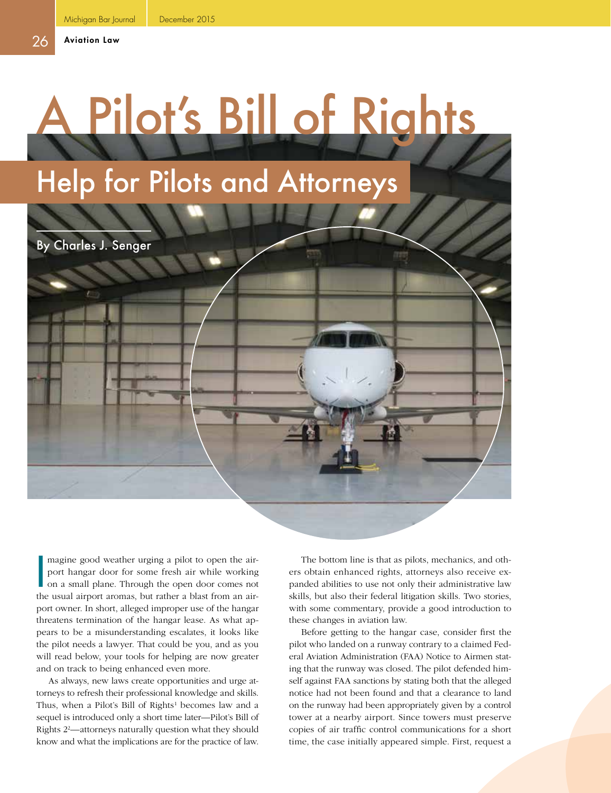## Pilot's Bill of Rights Help for Pilots and Attorneys

By Charles J. Senger

I<br>I<br>I<br>I magine good weather urging a pilot to open the airport hangar door for some fresh air while working on a small plane. Through the open door comes not the usual airport aromas, but rather a blast from an airport owner. In short, alleged improper use of the hangar threatens termination of the hangar lease. As what appears to be a misunderstanding escalates, it looks like the pilot needs a lawyer. That could be you, and as you will read below, your tools for helping are now greater and on track to being enhanced even more.

As always, new laws create opportunities and urge attorneys to refresh their professional knowledge and skills. Thus, when a Pilot's Bill of Rights<sup>1</sup> becomes law and a sequel is introduced only a short time later—Pilot's Bill of Rights 22 —attorneys naturally question what they should know and what the implications are for the practice of law.

The bottom line is that as pilots, mechanics, and others obtain enhanced rights, attorneys also receive expanded abilities to use not only their administrative law skills, but also their federal litigation skills. Two stories, with some commentary, provide a good introduction to these changes in aviation law.

Before getting to the hangar case, consider first the pilot who landed on a runway contrary to a claimed Federal Aviation Administration (FAA) Notice to Airmen stating that the runway was closed. The pilot defended himself against FAA sanctions by stating both that the alleged notice had not been found and that a clearance to land on the runway had been appropriately given by a control tower at a nearby airport. Since towers must preserve copies of air traffic control communications for a short time, the case initially appeared simple. First, request a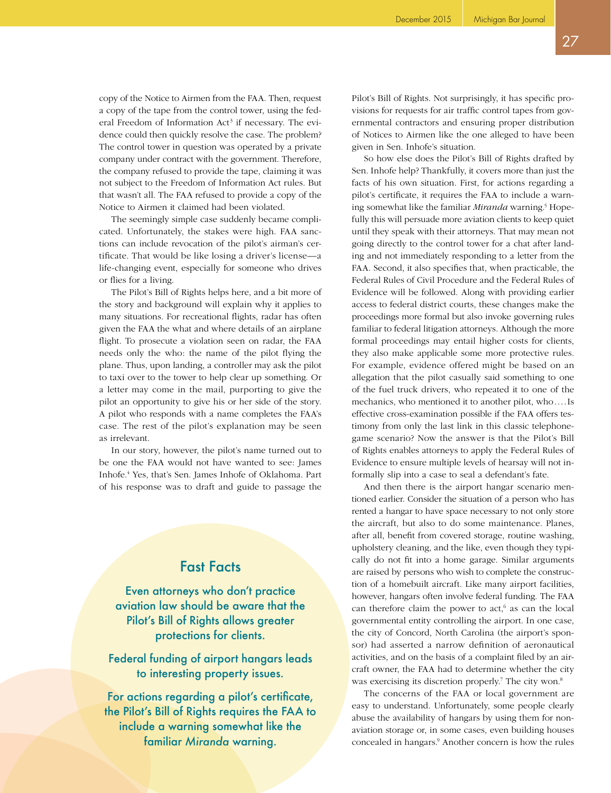copy of the Notice to Airmen from the FAA. Then, request a copy of the tape from the control tower, using the federal Freedom of Information Act<sup>3</sup> if necessary. The evidence could then quickly resolve the case. The problem? The control tower in question was operated by a private company under contract with the government. Therefore, the company refused to provide the tape, claiming it was not subject to the Freedom of Information Act rules. But that wasn't all. The FAA refused to provide a copy of the Notice to Airmen it claimed had been violated.

The seemingly simple case suddenly became complicated. Unfortunately, the stakes were high. FAA sanctions can include revocation of the pilot's airman's certificate. That would be like losing a driver's license—a life-changing event, especially for someone who drives or flies for a living.

The Pilot's Bill of Rights helps here, and a bit more of the story and background will explain why it applies to many situations. For recreational flights, radar has often given the FAA the what and where details of an airplane flight. To prosecute a violation seen on radar, the FAA needs only the who: the name of the pilot flying the plane. Thus, upon landing, a controller may ask the pilot to taxi over to the tower to help clear up something. Or a letter may come in the mail, purporting to give the pilot an opportunity to give his or her side of the story. A pilot who responds with a name completes the FAA's case. The rest of the pilot's explanation may be seen as irrelevant.

In our story, however, the pilot's name turned out to be one the FAA would not have wanted to see: James Inhofe.4 Yes, that's Sen. James Inhofe of Oklahoma. Part of his response was to draft and guide to passage the

## Fast Facts

Even attorneys who don't practice aviation law should be aware that the Pilot's Bill of Rights allows greater protections for clients.

Federal funding of airport hangars leads to interesting property issues.

For actions regarding a pilot's certificate, the Pilot's Bill of Rights requires the FAA to include a warning somewhat like the familiar *Miranda* warning.

Pilot's Bill of Rights. Not surprisingly, it has specific provisions for requests for air traffic control tapes from governmental contractors and ensuring proper distribution of Notices to Airmen like the one alleged to have been given in Sen. Inhofe's situation.

So how else does the Pilot's Bill of Rights drafted by Sen. Inhofe help? Thankfully, it covers more than just the facts of his own situation. First, for actions regarding a pilot's certificate, it requires the FAA to include a warning somewhat like the familiar Miranda warning.<sup>5</sup> Hopefully this will persuade more aviation clients to keep quiet until they speak with their attorneys. That may mean not going directly to the control tower for a chat after landing and not immediately responding to a letter from the FAA. Second, it also specifies that, when practicable, the Federal Rules of Civil Procedure and the Federal Rules of Evidence will be followed. Along with providing earlier access to federal district courts, these changes make the proceedings more formal but also invoke governing rules familiar to federal litigation attorneys. Although the more formal proceedings may entail higher costs for clients, they also make applicable some more protective rules. For example, evidence offered might be based on an allegation that the pilot casually said something to one of the fuel truck drivers, who repeated it to one of the mechanics, who mentioned it to another pilot, who....Is effective cross-examination possible if the FAA offers testimony from only the last link in this classic telephonegame scenario? Now the answer is that the Pilot's Bill of Rights enables attorneys to apply the Federal Rules of Evidence to ensure multiple levels of hearsay will not informally slip into a case to seal a defendant's fate.

And then there is the airport hangar scenario mentioned earlier. Consider the situation of a person who has rented a hangar to have space necessary to not only store the aircraft, but also to do some maintenance. Planes, after all, benefit from covered storage, routine washing, upholstery cleaning, and the like, even though they typically do not fit into a home garage. Similar arguments are raised by persons who wish to complete the construction of a homebuilt aircraft. Like many airport facilities, however, hangars often involve federal funding. The FAA can therefore claim the power to  $act<sub>i</sub><sup>6</sup>$  as can the local governmental entity controlling the airport. In one case, the city of Concord, North Carolina (the airport's sponsor) had asserted a narrow definition of aeronautical activities, and on the basis of a complaint filed by an aircraft owner, the FAA had to determine whether the city was exercising its discretion properly.<sup>7</sup> The city won.<sup>8</sup>

The concerns of the FAA or local government are easy to understand. Unfortunately, some people clearly abuse the availability of hangars by using them for nonaviation storage or, in some cases, even building houses concealed in hangars.9 Another concern is how the rules